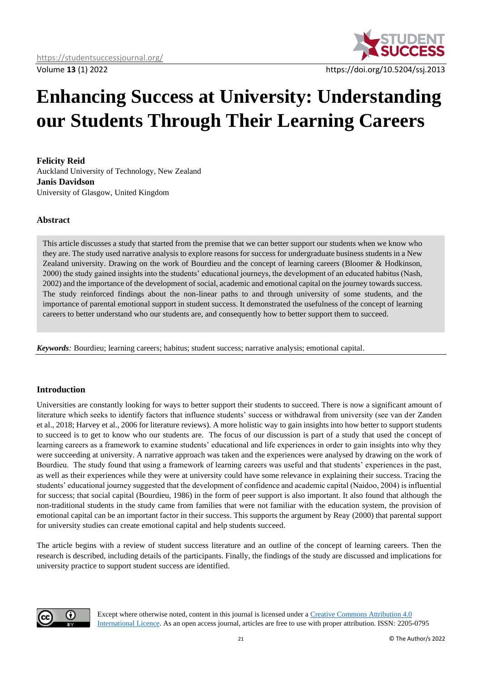

# **Enhancing Success at University: Understanding our Students Through Their Learning Careers**

**Felicity Reid** Auckland University of Technology, New Zealand **Janis Davidson** University of Glasgow, United Kingdom

# **Abstract**

This article discusses a study that started from the premise that we can better support our students when we know who they are. The study used narrative analysis to explore reasons for success for undergraduate business students in a New Zealand university. Drawing on the work of Bourdieu and the concept of learning careers (Bloomer & Hodkinson, 2000) the study gained insights into the students' educational journeys, the development of an educated habitus (Nash, 2002) and the importance of the development of social, academic and emotional capital on the journey towards success. The study reinforced findings about the non-linear paths to and through university of some students, and the importance of parental emotional support in student success. It demonstrated the usefulness of the concept of learning careers to better understand who our students are, and consequently how to better support them to succeed.

*Keywords:* Bourdieu; learning careers; habitus; student success; narrative analysis; emotional capital.

### **Introduction**

Universities are constantly looking for ways to better support their students to succeed. There is now a significant amount of literature which seeks to identify factors that influence students' success or withdrawal from university (see van der Zanden et al., 2018; Harvey et al., 2006 for literature reviews). A more holistic way to gain insights into how better to support students to succeed is to get to know who our students are. The focus of our discussion is part of a study that used the concept of learning careers as a framework to examine students' educational and life experiences in order to gain insights into why they were succeeding at university. A narrative approach was taken and the experiences were analysed by drawing on the work of Bourdieu. The study found that using a framework of learning careers was useful and that students' experiences in the past, as well as their experiences while they were at university could have some relevance in explaining their success. Tracing the students' educational journey suggested that the development of confidence and academic capital (Naidoo, 2004) is influential for success; that social capital (Bourdieu, 1986) in the form of peer support is also important. It also found that although the non-traditional students in the study came from families that were not familiar with the education system, the provision of emotional capital can be an important factor in their success. This supports the argument by Reay (2000) that parental support for university studies can create emotional capital and help students succeed.

The article begins with a review of student success literature and an outline of the concept of learning careers. Then the research is described, including details of the participants. Finally, the findings of the study are discussed and implications for university practice to support student success are identified.



Except where otherwise noted, content in this journal is licensed under [a Creative Commons Attribution 4.0](https://creativecommons.org/licenses/by/4.0/)  [International Licence.](https://creativecommons.org/licenses/by/4.0/) As an open access journal, articles are free to use with proper attribution. ISSN: 2205-0795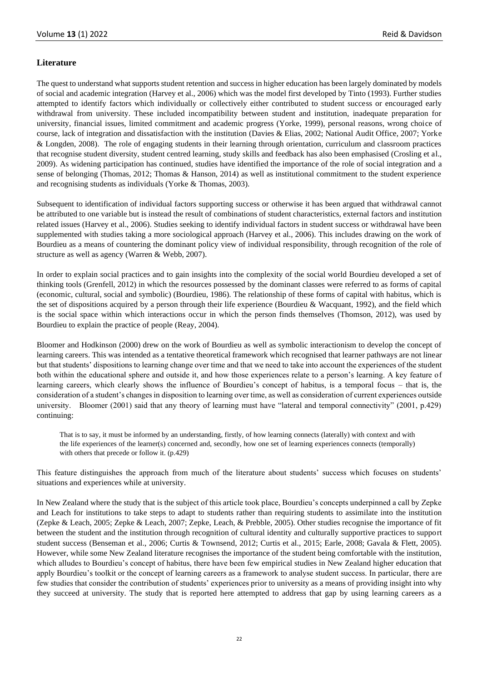# **Literature**

The quest to understand what supports student retention and success in higher education has been largely dominated by models of social and academic integration (Harvey et al., 2006) which was the model first developed by Tinto (1993). Further studies attempted to identify factors which individually or collectively either contributed to student success or encouraged early withdrawal from university. These included incompatibility between student and institution, inadequate preparation for university, financial issues, limited commitment and academic progress (Yorke, 1999), personal reasons, wrong choice of course, lack of integration and dissatisfaction with the institution (Davies & Elias, 2002; National Audit Office, 2007; Yorke & Longden, 2008). The role of engaging students in their learning through orientation, curriculum and classroom practices that recognise student diversity, student centred learning, study skills and feedback has also been emphasised (Crosling et al., 2009). As widening participation has continued, studies have identified the importance of the role of social integration and a sense of belonging (Thomas, 2012; Thomas & Hanson, 2014) as well as institutional commitment to the student experience and recognising students as individuals (Yorke & Thomas, 2003).

Subsequent to identification of individual factors supporting success or otherwise it has been argued that withdrawal cannot be attributed to one variable but is instead the result of combinations of student characteristics, external factors and institution related issues (Harvey et al., 2006). Studies seeking to identify individual factors in student success or withdrawal have been supplemented with studies taking a more sociological approach (Harvey et al., 2006). This includes drawing on the work of Bourdieu as a means of countering the dominant policy view of individual responsibility, through recognition of the role of structure as well as agency (Warren & Webb, 2007).

In order to explain social practices and to gain insights into the complexity of the social world Bourdieu developed a set of thinking tools (Grenfell, 2012) in which the resources possessed by the dominant classes were referred to as forms of capital (economic, cultural, social and symbolic) (Bourdieu, 1986). The relationship of these forms of capital with habitus, which is the set of dispositions acquired by a person through their life experience (Bourdieu & Wacquant, 1992), and the field which is the social space within which interactions occur in which the person finds themselves (Thomson, 2012), was used by Bourdieu to explain the practice of people (Reay, 2004).

Bloomer and Hodkinson (2000) drew on the work of Bourdieu as well as symbolic interactionism to develop the concept of learning careers. This was intended as a tentative theoretical framework which recognised that learner pathways are not linear but that students' dispositions to learning change over time and that we need to take into account the experiences of the student both within the educational sphere and outside it, and how those experiences relate to a person's learning. A key feature of learning careers, which clearly shows the influence of Bourdieu's concept of habitus, is a temporal focus – that is, the consideration of a student's changes in disposition to learning over time, as well as consideration of current experiences outside university. Bloomer (2001) said that any theory of learning must have "lateral and temporal connectivity" (2001, p.429) continuing:

That is to say, it must be informed by an understanding, firstly, of how learning connects (laterally) with context and with the life experiences of the learner(s) concerned and, secondly, how one set of learning experiences connects (temporally) with others that precede or follow it. (p.429)

This feature distinguishes the approach from much of the literature about students' success which focuses on students' situations and experiences while at university.

In New Zealand where the study that is the subject of this article took place, Bourdieu's concepts underpinned a call by Zepke and Leach for institutions to take steps to adapt to students rather than requiring students to assimilate into the institution (Zepke & Leach, 2005; Zepke & Leach, 2007; Zepke, Leach, & Prebble, 2005). Other studies recognise the importance of fit between the student and the institution through recognition of cultural identity and culturally supportive practices to support student success (Benseman et al., 2006; Curtis & Townsend, 2012; Curtis et al., 2015; Earle, 2008; Gavala & Flett, 2005). However, while some New Zealand literature recognises the importance of the student being comfortable with the institution, which alludes to Bourdieu's concept of habitus, there have been few empirical studies in New Zealand higher education that apply Bourdieu's toolkit or the concept of learning careers as a framework to analyse student success. In particular, there are few studies that consider the contribution of students' experiences prior to university as a means of providing insight into why they succeed at university. The study that is reported here attempted to address that gap by using learning careers as a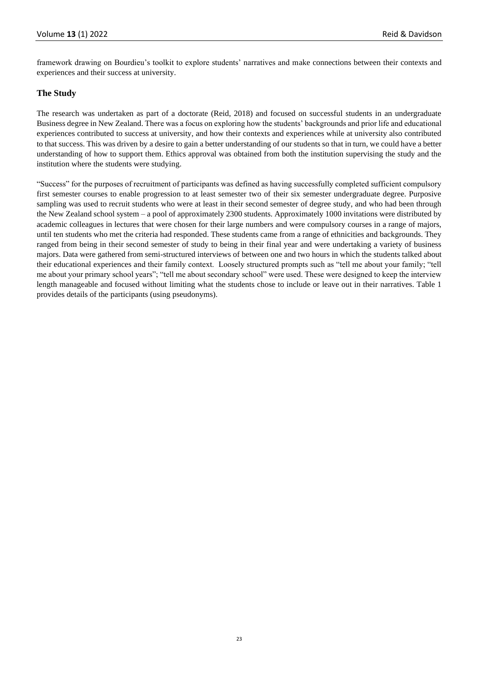framework drawing on Bourdieu's toolkit to explore students' narratives and make connections between their contexts and experiences and their success at university.

# **The Study**

The research was undertaken as part of a doctorate (Reid, 2018) and focused on successful students in an undergraduate Business degree in New Zealand. There was a focus on exploring how the students' backgrounds and prior life and educational experiences contributed to success at university, and how their contexts and experiences while at university also contributed to that success. This was driven by a desire to gain a better understanding of our students so that in turn, we could have a better understanding of how to support them. Ethics approval was obtained from both the institution supervising the study and the institution where the students were studying.

"Success" for the purposes of recruitment of participants was defined as having successfully completed sufficient compulsory first semester courses to enable progression to at least semester two of their six semester undergraduate degree. Purposive sampling was used to recruit students who were at least in their second semester of degree study, and who had been through the New Zealand school system – a pool of approximately 2300 students. Approximately 1000 invitations were distributed by academic colleagues in lectures that were chosen for their large numbers and were compulsory courses in a range of majors, until ten students who met the criteria had responded. These students came from a range of ethnicities and backgrounds. They ranged from being in their second semester of study to being in their final year and were undertaking a variety of business majors. Data were gathered from semi-structured interviews of between one and two hours in which the students talked about their educational experiences and their family context. Loosely structured prompts such as "tell me about your family; "tell me about your primary school years"; "tell me about secondary school" were used. These were designed to keep the interview length manageable and focused without limiting what the students chose to include or leave out in their narratives. Table 1 provides details of the participants (using pseudonyms).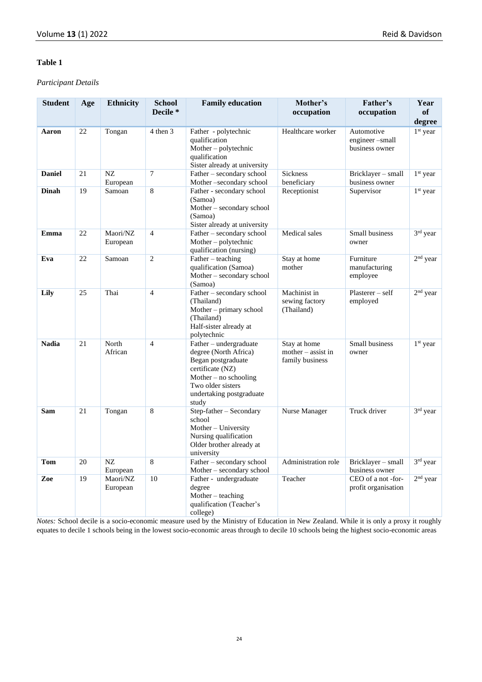### **Table 1**

# *Participant Details*

| <b>Student</b> | Age | <b>Ethnicity</b>     | <b>School</b><br>Decile <sup>*</sup> | <b>Family education</b>                                                                                                                                                        | Mother's<br>occupation                                  | Father's<br>occupation                         | Year<br>of<br>degree |
|----------------|-----|----------------------|--------------------------------------|--------------------------------------------------------------------------------------------------------------------------------------------------------------------------------|---------------------------------------------------------|------------------------------------------------|----------------------|
| Aaron          | 22  | Tongan               | 4 then 3                             | Father - polytechnic<br>qualification<br>Mother - polytechnic<br>qualification<br>Sister already at university                                                                 | Healthcare worker                                       | Automotive<br>engineer-small<br>business owner | 1 <sup>st</sup> year |
| <b>Daniel</b>  | 21  | $N\!Z$<br>European   | $\tau$                               | Father - secondary school<br>Mother-secondary school                                                                                                                           | Sickness<br>beneficiary                                 | Bricklayer - small<br>business owner           | 1 <sup>st</sup> year |
| <b>Dinah</b>   | 19  | Samoan               | 8                                    | Father - secondary school<br>(Samoa)<br>Mother - secondary school<br>(Samoa)<br>Sister already at university                                                                   | Receptionist                                            | Supervisor                                     | 1 <sup>st</sup> year |
| Emma           | 22  | Maori/NZ<br>European | $\overline{4}$                       | Father - secondary school<br>Mother-polytechnic<br>qualification (nursing)                                                                                                     | Medical sales                                           | Small business<br>owner                        | 3rd year             |
| Eva            | 22  | Samoan               | $\overline{c}$                       | Father – teaching<br>qualification (Samoa)<br>Mother – secondary school<br>(Samoa)                                                                                             | Stay at home<br>mother                                  | Furniture<br>manufacturing<br>employee         | $2nd$ year           |
| Lily           | 25  | Thai                 | $\overline{4}$                       | Father - secondary school<br>(Thailand)<br>Mother - primary school<br>(Thailand)<br>Half-sister already at<br>polytechnic                                                      | Machinist in<br>sewing factory<br>(Thailand)            | Plasterer – self<br>employed                   | $2nd$ year           |
| <b>Nadia</b>   | 21  | North<br>African     | $\overline{4}$                       | Father - undergraduate<br>degree (North Africa)<br>Began postgraduate<br>certificate (NZ)<br>Mother $-$ no schooling<br>Two older sisters<br>undertaking postgraduate<br>study | Stay at home<br>$mother - assist in$<br>family business | Small business<br>owner                        | $1st$ year           |
| Sam            | 21  | Tongan               | 8                                    | Step-father - Secondary<br>school<br>Mother – University<br>Nursing qualification<br>Older brother already at<br>university                                                    | Nurse Manager                                           | Truck driver                                   | 3rd year             |
| Tom            | 20  | NZ<br>European       | 8                                    | Father - secondary school<br>Mother - secondary school                                                                                                                         | Administration role                                     | Bricklayer – small<br>business owner           | $3rd$ year           |
| Zoe            | 19  | Maori/NZ<br>European | 10                                   | Father - undergraduate<br>degree<br>Mother $-$ teaching<br>qualification (Teacher's<br>college)                                                                                | Teacher                                                 | CEO of a not-for-<br>profit organisation       | $2nd$ year           |

*Notes:* School decile is a socio-economic measure used by the Ministry of Education in New Zealand. While it is only a proxy it roughly equates to decile 1 schools being in the lowest socio-economic areas through to decile 10 schools being the highest socio-economic areas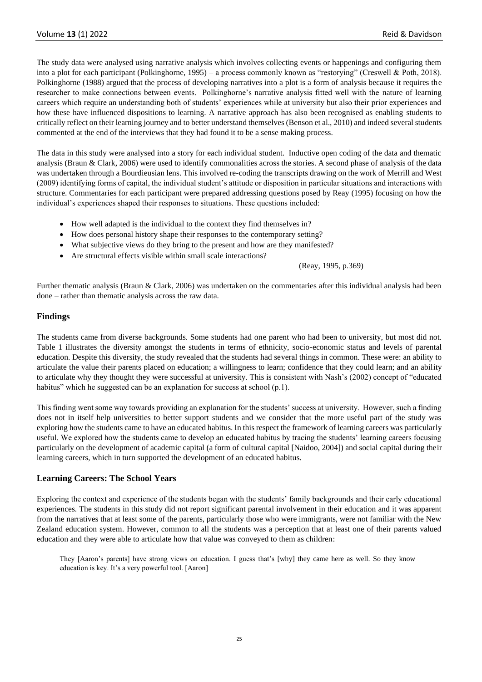The study data were analysed using narrative analysis which involves collecting events or happenings and configuring them into a plot for each participant (Polkinghorne, 1995) – a process commonly known as "restorying" (Creswell & Poth, 2018). Polkinghorne (1988) argued that the process of developing narratives into a plot is a form of analysis because it requires the researcher to make connections between events. Polkinghorne's narrative analysis fitted well with the nature of learning careers which require an understanding both of students' experiences while at university but also their prior experiences and how these have influenced dispositions to learning. A narrative approach has also been recognised as enabling students to critically reflect on their learning journey and to better understand themselves (Benson et al., 2010) and indeed several students commented at the end of the interviews that they had found it to be a sense making process.

The data in this study were analysed into a story for each individual student. Inductive open coding of the data and thematic analysis (Braun & Clark, 2006) were used to identify commonalities across the stories. A second phase of analysis of the data was undertaken through a Bourdieusian lens. This involved re-coding the transcripts drawing on the work of Merrill and West (2009) identifying forms of capital, the individual student's attitude or disposition in particular situations and interactions with structure. Commentaries for each participant were prepared addressing questions posed by Reay (1995) focusing on how the individual's experiences shaped their responses to situations. These questions included:

- How well adapted is the individual to the context they find themselves in?
- How does personal history shape their responses to the contemporary setting?
- What subjective views do they bring to the present and how are they manifested?
- Are structural effects visible within small scale interactions?

(Reay, 1995, p.369)

Further thematic analysis (Braun & Clark, 2006) was undertaken on the commentaries after this individual analysis had been done – rather than thematic analysis across the raw data.

### **Findings**

The students came from diverse backgrounds. Some students had one parent who had been to university, but most did not. Table 1 illustrates the diversity amongst the students in terms of ethnicity, socio-economic status and levels of parental education. Despite this diversity, the study revealed that the students had several things in common. These were: an ability to articulate the value their parents placed on education; a willingness to learn; confidence that they could learn; and an ability to articulate why they thought they were successful at university. This is consistent with Nash's (2002) concept of "educated habitus" which he suggested can be an explanation for success at school (p.1).

This finding went some way towards providing an explanation for the students' success at university. However, such a finding does not in itself help universities to better support students and we consider that the more useful part of the study was exploring how the students came to have an educated habitus. In this respect the framework of learning careers was particularly useful. We explored how the students came to develop an educated habitus by tracing the students' learning careers focusing particularly on the development of academic capital (a form of cultural capital [Naidoo, 2004]) and social capital during their learning careers, which in turn supported the development of an educated habitus.

### **Learning Careers: The School Years**

Exploring the context and experience of the students began with the students' family backgrounds and their early educational experiences. The students in this study did not report significant parental involvement in their education and it was apparent from the narratives that at least some of the parents, particularly those who were immigrants, were not familiar with the New Zealand education system. However, common to all the students was a perception that at least one of their parents valued education and they were able to articulate how that value was conveyed to them as children:

They [Aaron's parents] have strong views on education. I guess that's [why] they came here as well. So they know education is key. It's a very powerful tool. [Aaron]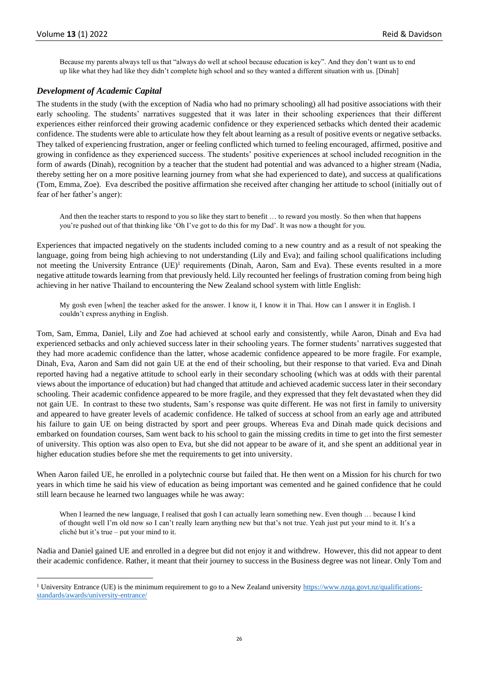Because my parents always tell us that "always do well at school because education is key". And they don't want us to end up like what they had like they didn't complete high school and so they wanted a different situation with us. [Dinah]

### *Development of Academic Capital*

The students in the study (with the exception of Nadia who had no primary schooling) all had positive associations with their early schooling. The students' narratives suggested that it was later in their schooling experiences that their different experiences either reinforced their growing academic confidence or they experienced setbacks which dented their academic confidence. The students were able to articulate how they felt about learning as a result of positive events or negative setbacks. They talked of experiencing frustration, anger or feeling conflicted which turned to feeling encouraged, affirmed, positive and growing in confidence as they experienced success. The students' positive experiences at school included recognition in the form of awards (Dinah), recognition by a teacher that the student had potential and was advanced to a higher stream (Nadia, thereby setting her on a more positive learning journey from what she had experienced to date), and success at qualifications (Tom, Emma, Zoe). Eva described the positive affirmation she received after changing her attitude to school (initially out of fear of her father's anger):

And then the teacher starts to respond to you so like they start to benefit … to reward you mostly. So then when that happens you're pushed out of that thinking like 'Oh I've got to do this for my Dad'. It was now a thought for you.

Experiences that impacted negatively on the students included coming to a new country and as a result of not speaking the language, going from being high achieving to not understanding (Lily and Eva); and failing school qualifications including not meeting the University Entrance (UE)<sup>1</sup> requirements (Dinah, Aaron, Sam and Eva). These events resulted in a more negative attitude towards learning from that previously held. Lily recounted her feelings of frustration coming from being high achieving in her native Thailand to encountering the New Zealand school system with little English:

My gosh even [when] the teacher asked for the answer. I know it, I know it in Thai. How can I answer it in English. I couldn't express anything in English.

Tom, Sam, Emma, Daniel, Lily and Zoe had achieved at school early and consistently, while Aaron, Dinah and Eva had experienced setbacks and only achieved success later in their schooling years. The former students' narratives suggested that they had more academic confidence than the latter, whose academic confidence appeared to be more fragile. For example, Dinah, Eva, Aaron and Sam did not gain UE at the end of their schooling, but their response to that varied. Eva and Dinah reported having had a negative attitude to school early in their secondary schooling (which was at odds with their parental views about the importance of education) but had changed that attitude and achieved academic success later in their secondary schooling. Their academic confidence appeared to be more fragile, and they expressed that they felt devastated when they did not gain UE. In contrast to these two students, Sam's response was quite different. He was not first in family to university and appeared to have greater levels of academic confidence. He talked of success at school from an early age and attributed his failure to gain UE on being distracted by sport and peer groups. Whereas Eva and Dinah made quick decisions and embarked on foundation courses, Sam went back to his school to gain the missing credits in time to get into the first semester of university. This option was also open to Eva, but she did not appear to be aware of it, and she spent an additional year in higher education studies before she met the requirements to get into university.

When Aaron failed UE, he enrolled in a polytechnic course but failed that. He then went on a Mission for his church for two years in which time he said his view of education as being important was cemented and he gained confidence that he could still learn because he learned two languages while he was away:

When I learned the new language, I realised that gosh I can actually learn something new. Even though ... because I kind of thought well I'm old now so I can't really learn anything new but that's not true. Yeah just put your mind to it. It's a cliché but it's true – put your mind to it.

Nadia and Daniel gained UE and enrolled in a degree but did not enjoy it and withdrew. However, this did not appear to dent their academic confidence. Rather, it meant that their journey to success in the Business degree was not linear. Only Tom and

<sup>&</sup>lt;sup>1</sup> University Entrance (UE) is the minimum requirement to go to a New Zealand universit[y https://www.nzqa.govt.nz/qualifications](https://www.nzqa.govt.nz/qualifications-standards/awards/university-entrance/)[standards/awards/university-entrance/](https://www.nzqa.govt.nz/qualifications-standards/awards/university-entrance/)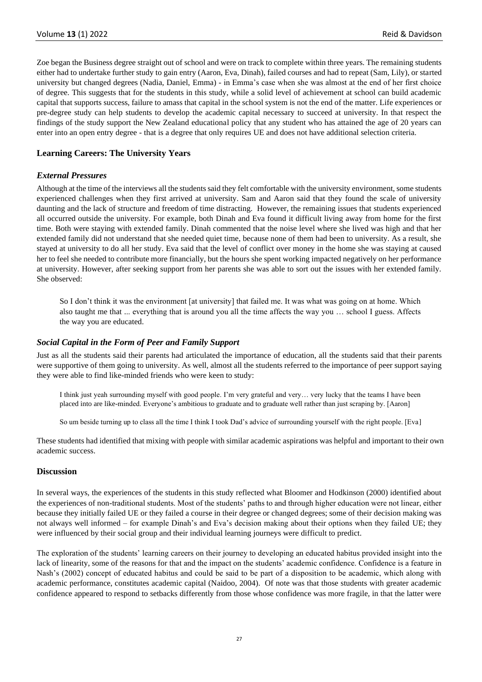Zoe began the Business degree straight out of school and were on track to complete within three years. The remaining students either had to undertake further study to gain entry (Aaron, Eva, Dinah), failed courses and had to repeat (Sam, Lily), or started university but changed degrees (Nadia, Daniel, Emma) - in Emma's case when she was almost at the end of her first choice of degree. This suggests that for the students in this study, while a solid level of achievement at school can build academic capital that supports success, failure to amass that capital in the school system is not the end of the matter. Life experiences or pre-degree study can help students to develop the academic capital necessary to succeed at university. In that respect the findings of the study support the New Zealand educational policy that any student who has attained the age of 20 years can enter into an open entry degree - that is a degree that only requires UE and does not have additional selection criteria.

# **Learning Careers: The University Years**

### *External Pressures*

Although at the time of the interviews all the students said they felt comfortable with the university environment, some students experienced challenges when they first arrived at university. Sam and Aaron said that they found the scale of university daunting and the lack of structure and freedom of time distracting. However, the remaining issues that students experienced all occurred outside the university. For example, both Dinah and Eva found it difficult living away from home for the first time. Both were staying with extended family. Dinah commented that the noise level where she lived was high and that her extended family did not understand that she needed quiet time, because none of them had been to university. As a result, she stayed at university to do all her study. Eva said that the level of conflict over money in the home she was staying at caused her to feel she needed to contribute more financially, but the hours she spent working impacted negatively on her performance at university. However, after seeking support from her parents she was able to sort out the issues with her extended family. She observed:

So I don't think it was the environment [at university] that failed me. It was what was going on at home. Which also taught me that ... everything that is around you all the time affects the way you … school I guess. Affects the way you are educated.

#### *Social Capital in the Form of Peer and Family Support*

Just as all the students said their parents had articulated the importance of education, all the students said that their parents were supportive of them going to university. As well, almost all the students referred to the importance of peer support saying they were able to find like-minded friends who were keen to study:

I think just yeah surrounding myself with good people. I'm very grateful and very… very lucky that the teams I have been placed into are like-minded. Everyone's ambitious to graduate and to graduate well rather than just scraping by. [Aaron]

So um beside turning up to class all the time I think I took Dad's advice of surrounding yourself with the right people. [Eva]

These students had identified that mixing with people with similar academic aspirations was helpful and important to their own academic success.

### **Discussion**

In several ways, the experiences of the students in this study reflected what Bloomer and Hodkinson (2000) identified about the experiences of non-traditional students. Most of the students' paths to and through higher education were not linear, either because they initially failed UE or they failed a course in their degree or changed degrees; some of their decision making was not always well informed – for example Dinah's and Eva's decision making about their options when they failed UE; they were influenced by their social group and their individual learning journeys were difficult to predict.

The exploration of the students' learning careers on their journey to developing an educated habitus provided insight into the lack of linearity, some of the reasons for that and the impact on the students' academic confidence. Confidence is a feature in Nash's (2002) concept of educated habitus and could be said to be part of a disposition to be academic, which along with academic performance, constitutes academic capital (Naidoo, 2004). Of note was that those students with greater academic confidence appeared to respond to setbacks differently from those whose confidence was more fragile, in that the latter were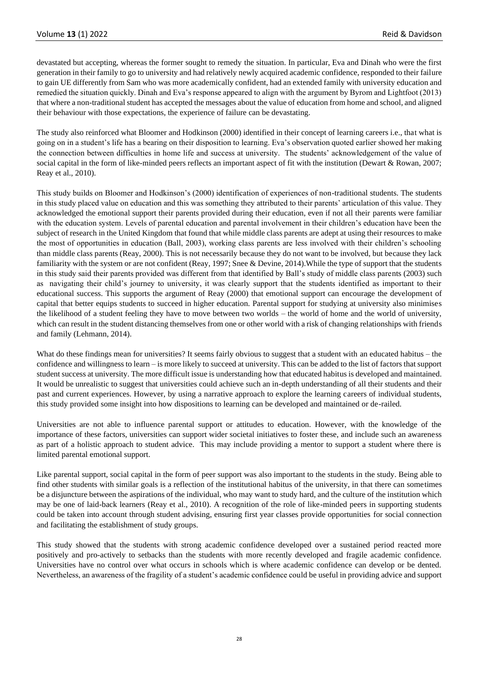devastated but accepting, whereas the former sought to remedy the situation. In particular, Eva and Dinah who were the first generation in their family to go to university and had relatively newly acquired academic confidence, responded to their failure to gain UE differently from Sam who was more academically confident, had an extended family with university education and remedied the situation quickly. Dinah and Eva's response appeared to align with the argument by Byrom and Lightfoot (2013) that where a non-traditional student has accepted the messages about the value of education from home and school, and aligned their behaviour with those expectations, the experience of failure can be devastating.

The study also reinforced what Bloomer and Hodkinson (2000) identified in their concept of learning careers i.e., that what is going on in a student's life has a bearing on their disposition to learning. Eva's observation quoted earlier showed her making the connection between difficulties in home life and success at university. The students' acknowledgement of the value of social capital in the form of like-minded peers reflects an important aspect of fit with the institution (Dewart & Rowan, 2007; Reay et al., 2010).

This study builds on Bloomer and Hodkinson's (2000) identification of experiences of non-traditional students. The students in this study placed value on education and this was something they attributed to their parents' articulation of this value. They acknowledged the emotional support their parents provided during their education, even if not all their parents were familiar with the education system. Levels of parental education and parental involvement in their children's education have been the subject of research in the United Kingdom that found that while middle class parents are adept at using their resources to make the most of opportunities in education (Ball, 2003), working class parents are less involved with their children's schooling than middle class parents (Reay, 2000). This is not necessarily because they do not want to be involved, but because they lack familiarity with the system or are not confident (Reay, 1997; Snee & Devine, 2014). While the type of support that the students in this study said their parents provided was different from that identified by Ball's study of middle class parents (2003) such as navigating their child's journey to university, it was clearly support that the students identified as important to their educational success. This supports the argument of Reay (2000) that emotional support can encourage the development of capital that better equips students to succeed in higher education. Parental support for studying at university also minimises the likelihood of a student feeling they have to move between two worlds – the world of home and the world of university, which can result in the student distancing themselves from one or other world with a risk of changing relationships with friends and family (Lehmann, 2014).

What do these findings mean for universities? It seems fairly obvious to suggest that a student with an educated habitus – the confidence and willingness to learn – is more likely to succeed at university. This can be added to the list of factors that support student success at university. The more difficult issue is understanding how that educated habitus is developed and maintained. It would be unrealistic to suggest that universities could achieve such an in-depth understanding of all their students and their past and current experiences. However, by using a narrative approach to explore the learning careers of individual students, this study provided some insight into how dispositions to learning can be developed and maintained or de-railed.

Universities are not able to influence parental support or attitudes to education. However, with the knowledge of the importance of these factors, universities can support wider societal initiatives to foster these, and include such an awareness as part of a holistic approach to student advice. This may include providing a mentor to support a student where there is limited parental emotional support.

Like parental support, social capital in the form of peer support was also important to the students in the study. Being able to find other students with similar goals is a reflection of the institutional habitus of the university, in that there can sometimes be a disjuncture between the aspirations of the individual, who may want to study hard, and the culture of the institution which may be one of laid-back learners (Reay et al., 2010). A recognition of the role of like-minded peers in supporting students could be taken into account through student advising, ensuring first year classes provide opportunities for social connection and facilitating the establishment of study groups.

This study showed that the students with strong academic confidence developed over a sustained period reacted more positively and pro-actively to setbacks than the students with more recently developed and fragile academic confidence. Universities have no control over what occurs in schools which is where academic confidence can develop or be dented. Nevertheless, an awareness of the fragility of a student's academic confidence could be useful in providing advice and support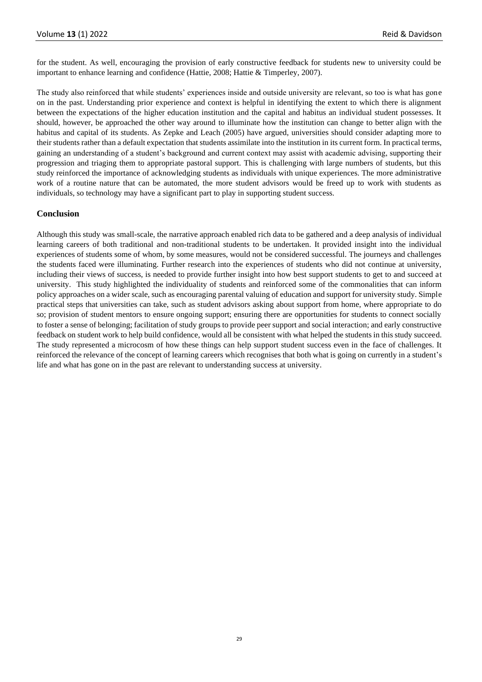for the student. As well, encouraging the provision of early constructive feedback for students new to university could be important to enhance learning and confidence (Hattie, 2008; Hattie & Timperley, 2007).

The study also reinforced that while students' experiences inside and outside university are relevant, so too is what has gone on in the past. Understanding prior experience and context is helpful in identifying the extent to which there is alignment between the expectations of the higher education institution and the capital and habitus an individual student possesses. It should, however, be approached the other way around to illuminate how the institution can change to better align with the habitus and capital of its students. As Zepke and Leach (2005) have argued, universities should consider adapting more to their students rather than a default expectation that students assimilate into the institution in its current form. In practical terms, gaining an understanding of a student's background and current context may assist with academic advising, supporting their progression and triaging them to appropriate pastoral support. This is challenging with large numbers of students, but this study reinforced the importance of acknowledging students as individuals with unique experiences. The more administrative work of a routine nature that can be automated, the more student advisors would be freed up to work with students as individuals, so technology may have a significant part to play in supporting student success.

# **Conclusion**

Although this study was small-scale, the narrative approach enabled rich data to be gathered and a deep analysis of individual learning careers of both traditional and non-traditional students to be undertaken. It provided insight into the individual experiences of students some of whom, by some measures, would not be considered successful. The journeys and challenges the students faced were illuminating. Further research into the experiences of students who did not continue at university, including their views of success, is needed to provide further insight into how best support students to get to and succeed at university. This study highlighted the individuality of students and reinforced some of the commonalities that can inform policy approaches on a wider scale, such as encouraging parental valuing of education and support for university study. Simple practical steps that universities can take, such as student advisors asking about support from home, where appropriate to do so; provision of student mentors to ensure ongoing support; ensuring there are opportunities for students to connect socially to foster a sense of belonging; facilitation of study groups to provide peer support and social interaction; and early constructive feedback on student work to help build confidence, would all be consistent with what helped the students in this study succeed. The study represented a microcosm of how these things can help support student success even in the face of challenges. It reinforced the relevance of the concept of learning careers which recognises that both what is going on currently in a student's life and what has gone on in the past are relevant to understanding success at university.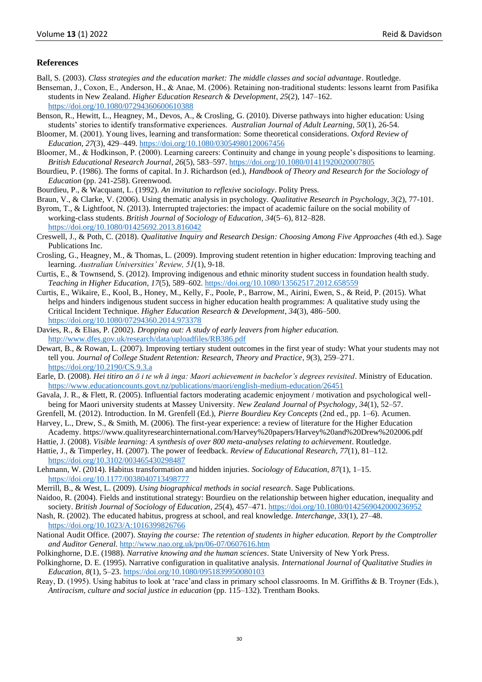#### **References**

- Ball, S. (2003). *Class strategies and the education market: The middle classes and social advantage*. Routledge.
- Benseman, J., Coxon, E., Anderson, H., & Anae, M. (2006). Retaining non-traditional students: lessons learnt from Pasifika students in New Zealand. *Higher Education Research & Development*, *25*(2), 147–162. <https://doi.org/10.1080/07294360600610388>
- Benson, R., Hewitt, L., Heagney, M., Devos, A., & Crosling, G. (2010). Diverse pathways into higher education: Using students' stories to identify transformative experiences. *Australian Journal of Adult Learning, 50*(1), 26-54.
- Bloomer, M. (2001). Young lives, learning and transformation: Some theoretical considerations. *Oxford Review of Education*, *27*(3), 429–449. <https://doi.org/10.1080/03054980120067456>
- Bloomer, M., & Hodkinson, P. (2000). Learning careers: Continuity and change in young people's dispositions to learning. *British Educational Research Journal*, *26*(5), 583–597.<https://doi.org/10.1080/01411920020007805>
- Bourdieu, P. (1986). The forms of capital. In J. Richardson (ed.), *Handbook of Theory and Research for the Sociology of Education* (pp. 241-258). Greenwood.
- Bourdieu, P., & Wacquant, L. (1992). *An invitation to reflexive sociology*. Polity Press.
- Braun, V., & Clarke, V. (2006). Using thematic analysis in psychology. *Qualitative Research in Psychology, 3*(2), 77-101.

Byrom, T., & Lightfoot, N. (2013). Interrupted trajectories: the impact of academic failure on the social mobility of working-class students. *British Journal of Sociology of Education*, *34*(5–6), 812–828. <https://doi.org/10.1080/01425692.2013.816042>

Creswell, J., & Poth, C. (2018). *Qualitative Inquiry and Research Design: Choosing Among Five Approaches* (4th ed.). Sage Publications Inc.

- Crosling, G., Heagney, M., & Thomas, L. (2009). Improving student retention in higher education: Improving teaching and learning. *Australian Universities' Review, 51*(1), 9-18.
- Curtis, E., & Townsend, S. (2012). Improving indigenous and ethnic minority student success in foundation health study. *Teaching in Higher Education*, *17*(5), 589–602.<https://doi.org/10.1080/13562517.2012.658559>
- Curtis, E., Wikaire, E., Kool, B., Honey, M., Kelly, F., Poole, P., Barrow, M., Airini, Ewen, S., & Reid, P. (2015). What helps and hinders indigenous student success in higher education health programmes: A qualitative study using the Critical Incident Technique. *Higher Education Research & Development*, *34*(3), 486–500. <https://doi.org/10.1080/07294360.2014.973378>
- Davies, R., & Elias, P. (2002). *Dropping out: A study of early leavers from higher education.*  <http://www.dfes.gov.uk/research/data/uploadfiles/RB386.pdf>
- Dewart, B., & Rowan, L. (2007). Improving tertiary student outcomes in the first year of study: What your students may not tell you. *Journal of College Student Retention: Research, Theory and Practice*, *9*(3), 259–271. <https://doi.org/10.2190/CS.9.3.a>
- Earle, D. (2008). *Hei titiro an ō i te wh ā inga: Maori achievement in bachelor's degrees revisited*. Ministry of Education. <https://www.educationcounts.govt.nz/publications/maori/english-medium-education/26451>
- Gavala, J. R., & Flett, R. (2005). Influential factors moderating academic enjoyment / motivation and psychological wellbeing for Maori university students at Massey University. *New Zealand Journal of Psychology*, *34*(1), 52–57.
- Grenfell, M. (2012). Introduction. In M. Grenfell (Ed.), *Pierre Bourdieu Key Concepts* (2nd ed., pp. 1–6). Acumen.
- Harvey, L., Drew, S., & Smith, M. (2006). The first-year experience: a review of literature for the Higher Education Academy. https://www.qualityresearchinternational.com/Harvey%20papers/Harvey%20and%20Drew%202006.pdf
- Hattie, J. (2008). *Visible learning: A synthesis of over 800 meta-analyses relating to achievement*. Routledge.
- Hattie, J., & Timperley, H. (2007). The power of feedback. *Review of Educational Research*, *77*(1), 81–112. <https://doi.org/10.3102/003465430298487>
- Lehmann, W. (2014). Habitus transformation and hidden injuries. *Sociology of Education*, *87*(1), 1–15. <https://doi.org/10.1177/0038040713498777>
- Merrill, B., & West, L. (2009). *Using biographical methods in social research*. Sage Publications.
- Naidoo, R. (2004). Fields and institutional strategy: Bourdieu on the relationship between higher education, inequality and society. *British Journal of Sociology of Education*, *25*(4), 457–471[. https://doi.org/10.1080/0142569042000236952](https://doi.org/10.1080/0142569042000236952)
- Nash, R. (2002). The educated habitus, progress at school, and real knowledge. *Interchange*, *33*(1), 27–48. <https://doi.org/10.1023/A:1016399826766>
- National Audit Office. (2007). *Staying the course: The retention of students in higher education. Report by the Comptroller and Auditor General.* <http://www.nao.org.uk/pn/06-07/0607616.htm>
- Polkinghorne, D.E. (1988). *Narrative knowing and the human sciences*. State University of New York Press.
- Polkinghorne, D. E. (1995). Narrative configuration in qualitative analysis. *International Journal of Qualitative Studies in Education*, *8*(1), 5–23. <https://doi.org/10.1080/0951839950080103>
- Reay, D. (1995). Using habitus to look at 'race'and class in primary school classrooms. In M. Griffiths & B. Troyner (Eds.), *Antiracism, culture and social justice in education* (pp. 115–132). Trentham Books.